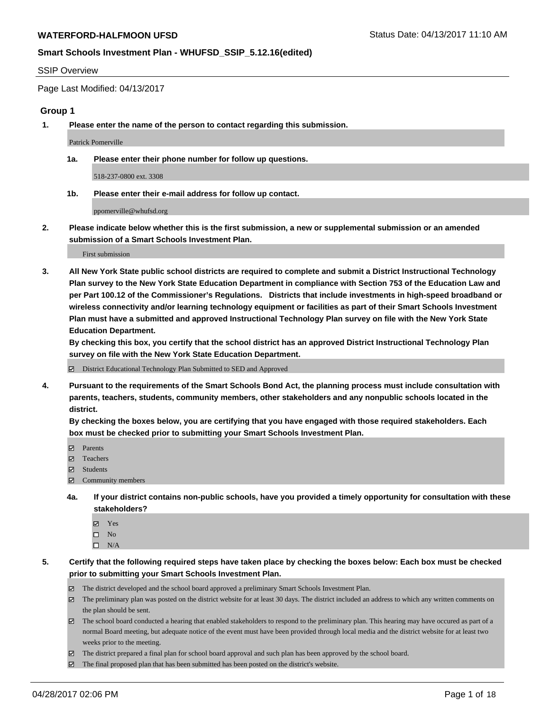#### SSIP Overview

Page Last Modified: 04/13/2017

#### **Group 1**

**1. Please enter the name of the person to contact regarding this submission.**

Patrick Pomerville

**1a. Please enter their phone number for follow up questions.**

518-237-0800 ext. 3308

**1b. Please enter their e-mail address for follow up contact.**

ppomerville@whufsd.org

**2. Please indicate below whether this is the first submission, a new or supplemental submission or an amended submission of a Smart Schools Investment Plan.**

First submission

**3. All New York State public school districts are required to complete and submit a District Instructional Technology Plan survey to the New York State Education Department in compliance with Section 753 of the Education Law and per Part 100.12 of the Commissioner's Regulations. Districts that include investments in high-speed broadband or wireless connectivity and/or learning technology equipment or facilities as part of their Smart Schools Investment Plan must have a submitted and approved Instructional Technology Plan survey on file with the New York State Education Department.** 

**By checking this box, you certify that the school district has an approved District Instructional Technology Plan survey on file with the New York State Education Department.**

District Educational Technology Plan Submitted to SED and Approved

**4. Pursuant to the requirements of the Smart Schools Bond Act, the planning process must include consultation with parents, teachers, students, community members, other stakeholders and any nonpublic schools located in the district.** 

**By checking the boxes below, you are certifying that you have engaged with those required stakeholders. Each box must be checked prior to submitting your Smart Schools Investment Plan.**

- **マ** Parents
- □ Teachers
- Students
- $\Xi$  Community members
- **4a. If your district contains non-public schools, have you provided a timely opportunity for consultation with these stakeholders?**
	- Yes
	- $\hfill \square$  No
	- $\square$  N/A
- **5. Certify that the following required steps have taken place by checking the boxes below: Each box must be checked prior to submitting your Smart Schools Investment Plan.**
	- The district developed and the school board approved a preliminary Smart Schools Investment Plan.
	- $\boxtimes$  The preliminary plan was posted on the district website for at least 30 days. The district included an address to which any written comments on the plan should be sent.
	- $\boxtimes$  The school board conducted a hearing that enabled stakeholders to respond to the preliminary plan. This hearing may have occured as part of a normal Board meeting, but adequate notice of the event must have been provided through local media and the district website for at least two weeks prior to the meeting.
	- The district prepared a final plan for school board approval and such plan has been approved by the school board.
	- $\boxtimes$  The final proposed plan that has been submitted has been posted on the district's website.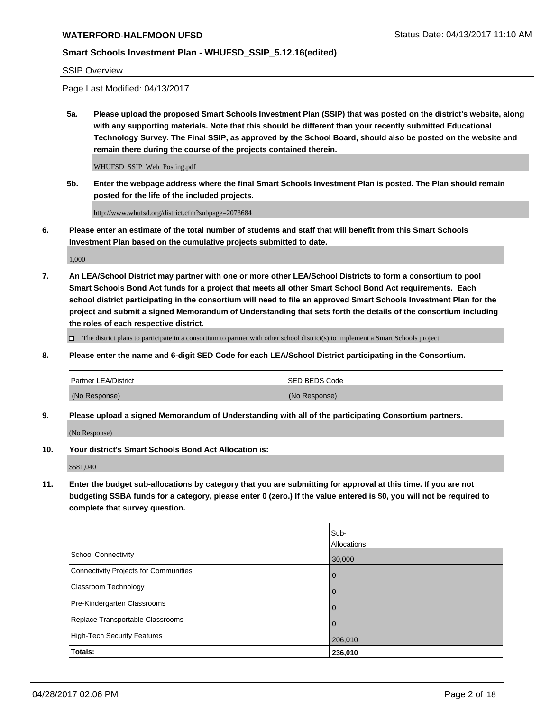SSIP Overview

Page Last Modified: 04/13/2017

**5a. Please upload the proposed Smart Schools Investment Plan (SSIP) that was posted on the district's website, along with any supporting materials. Note that this should be different than your recently submitted Educational Technology Survey. The Final SSIP, as approved by the School Board, should also be posted on the website and remain there during the course of the projects contained therein.**

WHUFSD\_SSIP\_Web\_Posting.pdf

**5b. Enter the webpage address where the final Smart Schools Investment Plan is posted. The Plan should remain posted for the life of the included projects.**

http://www.whufsd.org/district.cfm?subpage=2073684

**6. Please enter an estimate of the total number of students and staff that will benefit from this Smart Schools Investment Plan based on the cumulative projects submitted to date.**

1,000

**7. An LEA/School District may partner with one or more other LEA/School Districts to form a consortium to pool Smart Schools Bond Act funds for a project that meets all other Smart School Bond Act requirements. Each school district participating in the consortium will need to file an approved Smart Schools Investment Plan for the project and submit a signed Memorandum of Understanding that sets forth the details of the consortium including the roles of each respective district.**

 $\Box$  The district plans to participate in a consortium to partner with other school district(s) to implement a Smart Schools project.

**8. Please enter the name and 6-digit SED Code for each LEA/School District participating in the Consortium.**

| <b>Partner LEA/District</b> | <b>ISED BEDS Code</b> |
|-----------------------------|-----------------------|
| (No Response)               | (No Response)         |

**9. Please upload a signed Memorandum of Understanding with all of the participating Consortium partners.**

(No Response)

**10. Your district's Smart Schools Bond Act Allocation is:**

\$581,040

**11. Enter the budget sub-allocations by category that you are submitting for approval at this time. If you are not budgeting SSBA funds for a category, please enter 0 (zero.) If the value entered is \$0, you will not be required to complete that survey question.**

|                                              | Sub-        |
|----------------------------------------------|-------------|
|                                              | Allocations |
| <b>School Connectivity</b>                   | 30,000      |
| <b>Connectivity Projects for Communities</b> | 0           |
| <b>Classroom Technology</b>                  | 0           |
| Pre-Kindergarten Classrooms                  | 0           |
| Replace Transportable Classrooms             | 0           |
| <b>High-Tech Security Features</b>           | 206,010     |
| Totals:                                      | 236,010     |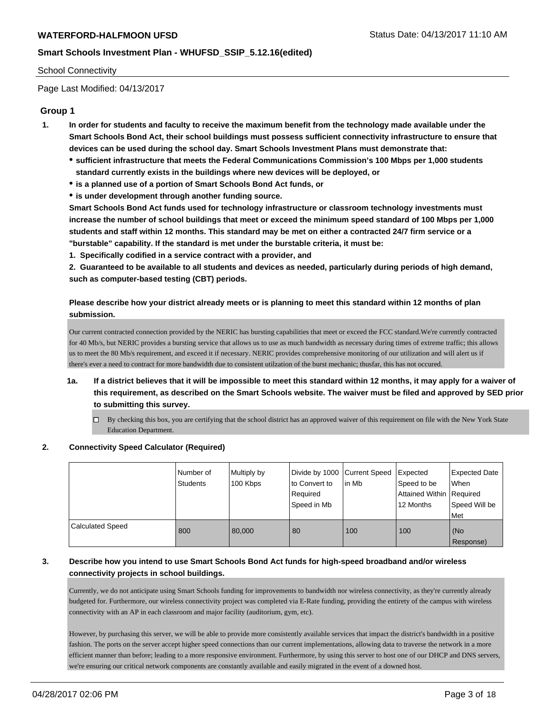### School Connectivity

Page Last Modified: 04/13/2017

## **Group 1**

- **1. In order for students and faculty to receive the maximum benefit from the technology made available under the Smart Schools Bond Act, their school buildings must possess sufficient connectivity infrastructure to ensure that devices can be used during the school day. Smart Schools Investment Plans must demonstrate that:**
	- **sufficient infrastructure that meets the Federal Communications Commission's 100 Mbps per 1,000 students standard currently exists in the buildings where new devices will be deployed, or**
	- **is a planned use of a portion of Smart Schools Bond Act funds, or**
	- **is under development through another funding source.**

**Smart Schools Bond Act funds used for technology infrastructure or classroom technology investments must increase the number of school buildings that meet or exceed the minimum speed standard of 100 Mbps per 1,000 students and staff within 12 months. This standard may be met on either a contracted 24/7 firm service or a "burstable" capability. If the standard is met under the burstable criteria, it must be:**

**1. Specifically codified in a service contract with a provider, and**

**2. Guaranteed to be available to all students and devices as needed, particularly during periods of high demand, such as computer-based testing (CBT) periods.**

**Please describe how your district already meets or is planning to meet this standard within 12 months of plan submission.**

Our current contracted connection provided by the NERIC has bursting capabilities that meet or exceed the FCC standard.We're currently contracted for 40 Mb/s, but NERIC provides a bursting service that allows us to use as much bandwidth as necessary during times of extreme traffic; this allows us to meet the 80 Mb/s requirement, and exceed it if necessary. NERIC provides comprehensive monitoring of our utilization and will alert us if there's ever a need to contract for more bandwidth due to consistent utilzation of the burst mechanic; thusfar, this has not occured.

- **1a. If a district believes that it will be impossible to meet this standard within 12 months, it may apply for a waiver of this requirement, as described on the Smart Schools website. The waiver must be filed and approved by SED prior to submitting this survey.**
	- By checking this box, you are certifying that the school district has an approved waiver of this requirement on file with the New York State Education Department.

#### **2. Connectivity Speed Calculator (Required)**

|                         | Number of<br>Students | Multiply by<br>100 Kbps | Divide by 1000 Current Speed<br>to Convert to<br>Required<br>Speed in Mb | in Mb | Expected<br>Speed to be<br>Attained Within Required<br>12 Months | <b>Expected Date</b><br>When<br>Speed Will be<br>Met |
|-------------------------|-----------------------|-------------------------|--------------------------------------------------------------------------|-------|------------------------------------------------------------------|------------------------------------------------------|
| <b>Calculated Speed</b> | 800                   | 80.000                  | 80                                                                       | 100   | 100                                                              | (No<br>Response)                                     |

## **3. Describe how you intend to use Smart Schools Bond Act funds for high-speed broadband and/or wireless connectivity projects in school buildings.**

Currently, we do not anticipate using Smart Schools funding for improvements to bandwidth nor wireless connectivity, as they're currently already budgeted for. Furthermore, our wireless connectivity project was completed via E-Rate funding, providing the entirety of the campus with wireless connectivity with an AP in each classroom and major facility (auditorium, gym, etc).

However, by purchasing this server, we will be able to provide more consistently available services that impact the district's bandwidth in a positive fashion. The ports on the server accept higher speed connections than our current implementations, allowing data to traverse the network in a more efficient manner than before; leading to a more responsive environment. Furthermore, by using this server to host one of our DHCP and DNS servers, we're ensuring our critical network components are constantly available and easily migrated in the event of a downed host.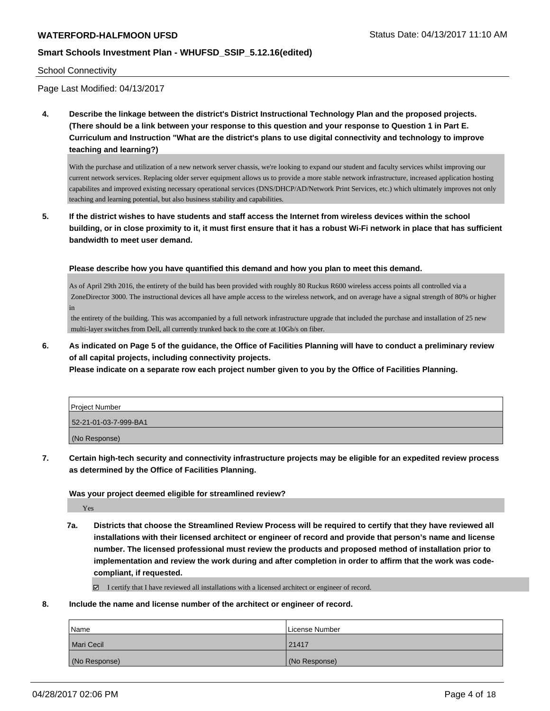#### School Connectivity

Page Last Modified: 04/13/2017

**4. Describe the linkage between the district's District Instructional Technology Plan and the proposed projects. (There should be a link between your response to this question and your response to Question 1 in Part E. Curriculum and Instruction "What are the district's plans to use digital connectivity and technology to improve teaching and learning?)**

With the purchase and utilization of a new network server chassis, we're looking to expand our student and faculty services whilst improving our current network services. Replacing older server equipment allows us to provide a more stable network infrastructure, increased application hosting capabilites and improved existing necessary operational services (DNS/DHCP/AD/Network Print Services, etc.) which ultimately improves not only teaching and learning potential, but also business stability and capabilities.

**5. If the district wishes to have students and staff access the Internet from wireless devices within the school building, or in close proximity to it, it must first ensure that it has a robust Wi-Fi network in place that has sufficient bandwidth to meet user demand.**

**Please describe how you have quantified this demand and how you plan to meet this demand.**

As of April 29th 2016, the entirety of the build has been provided with roughly 80 Ruckus R600 wireless access points all controlled via a ZoneDirector 3000. The instructional devices all have ample access to the wireless network, and on average have a signal strength of 80% or higher in

 the entirety of the building. This was accompanied by a full network infrastructure upgrade that included the purchase and installation of 25 new multi-layer switches from Dell, all currently trunked back to the core at 10Gb/s on fiber.

**6. As indicated on Page 5 of the guidance, the Office of Facilities Planning will have to conduct a preliminary review of all capital projects, including connectivity projects.**

**Please indicate on a separate row each project number given to you by the Office of Facilities Planning.**

| Project Number        |  |
|-----------------------|--|
| 52-21-01-03-7-999-BA1 |  |
| (No Response)         |  |

**7. Certain high-tech security and connectivity infrastructure projects may be eligible for an expedited review process as determined by the Office of Facilities Planning.**

#### **Was your project deemed eligible for streamlined review?**

Yes

**7a. Districts that choose the Streamlined Review Process will be required to certify that they have reviewed all installations with their licensed architect or engineer of record and provide that person's name and license number. The licensed professional must review the products and proposed method of installation prior to implementation and review the work during and after completion in order to affirm that the work was codecompliant, if requested.**

I certify that I have reviewed all installations with a licensed architect or engineer of record.

**8. Include the name and license number of the architect or engineer of record.**

| Name              | License Number |
|-------------------|----------------|
| <b>Mari Cecil</b> | 21417          |
| (No Response)     | (No Response)  |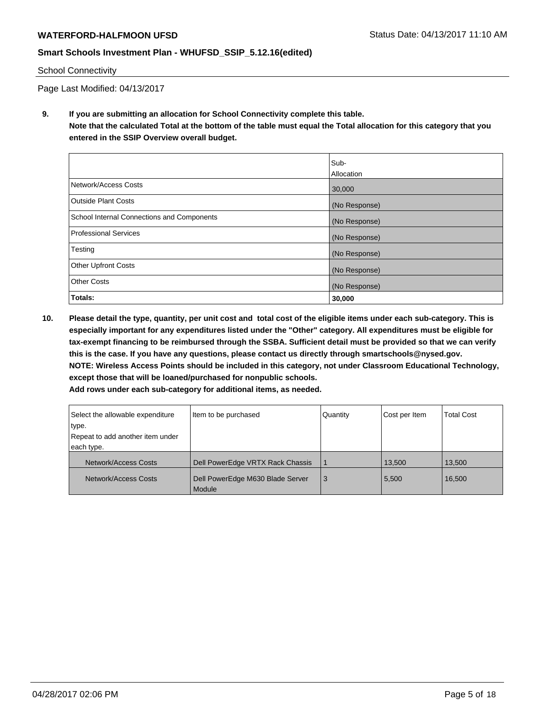## WATERFORD-HALFMOON UFSD<br>
Status Date: 04/13/2017 11:10 AM

## **Smart Schools Investment Plan - WHUFSD\_SSIP\_5.12.16(edited)**

#### School Connectivity

Page Last Modified: 04/13/2017

**9. If you are submitting an allocation for School Connectivity complete this table. Note that the calculated Total at the bottom of the table must equal the Total allocation for this category that you entered in the SSIP Overview overall budget.** 

|                                            | Sub-          |
|--------------------------------------------|---------------|
|                                            | Allocation    |
| Network/Access Costs                       | 30,000        |
| <b>Outside Plant Costs</b>                 | (No Response) |
| School Internal Connections and Components | (No Response) |
| <b>Professional Services</b>               | (No Response) |
| Testing                                    | (No Response) |
| <b>Other Upfront Costs</b>                 | (No Response) |
| <b>Other Costs</b>                         | (No Response) |
| Totals:                                    | 30,000        |

**10. Please detail the type, quantity, per unit cost and total cost of the eligible items under each sub-category. This is especially important for any expenditures listed under the "Other" category. All expenditures must be eligible for tax-exempt financing to be reimbursed through the SSBA. Sufficient detail must be provided so that we can verify this is the case. If you have any questions, please contact us directly through smartschools@nysed.gov. NOTE: Wireless Access Points should be included in this category, not under Classroom Educational Technology, except those that will be loaned/purchased for nonpublic schools.**

| Select the allowable expenditure | Item to be purchased                       | Quantity | Cost per Item | <b>Total Cost</b> |
|----------------------------------|--------------------------------------------|----------|---------------|-------------------|
| type.                            |                                            |          |               |                   |
| Repeat to add another item under |                                            |          |               |                   |
| each type.                       |                                            |          |               |                   |
| Network/Access Costs             | Dell PowerEdge VRTX Rack Chassis           |          | 13.500        | 13.500            |
| Network/Access Costs             | Dell PowerEdge M630 Blade Server<br>Module | 3        | 5,500         | 16,500            |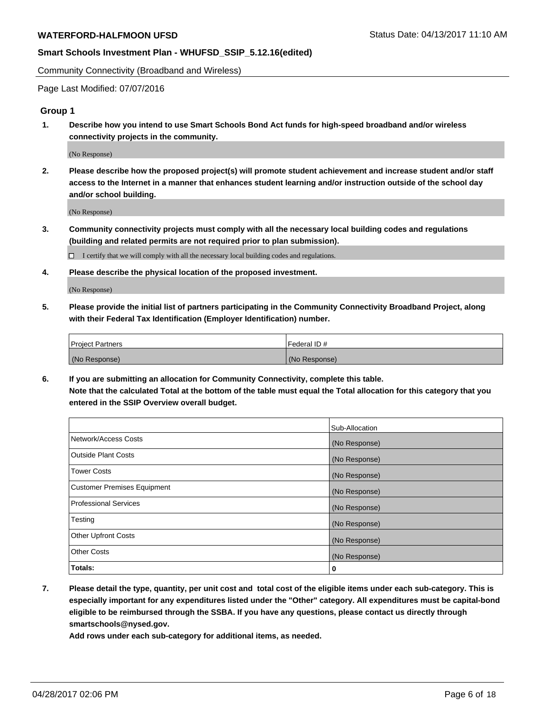Community Connectivity (Broadband and Wireless)

Page Last Modified: 07/07/2016

## **Group 1**

**1. Describe how you intend to use Smart Schools Bond Act funds for high-speed broadband and/or wireless connectivity projects in the community.**

(No Response)

**2. Please describe how the proposed project(s) will promote student achievement and increase student and/or staff access to the Internet in a manner that enhances student learning and/or instruction outside of the school day and/or school building.**

(No Response)

**3. Community connectivity projects must comply with all the necessary local building codes and regulations (building and related permits are not required prior to plan submission).**

 $\Box$  I certify that we will comply with all the necessary local building codes and regulations.

**4. Please describe the physical location of the proposed investment.**

(No Response)

**5. Please provide the initial list of partners participating in the Community Connectivity Broadband Project, along with their Federal Tax Identification (Employer Identification) number.**

| <b>Project Partners</b> | Federal ID#     |
|-------------------------|-----------------|
| (No Response)           | l (No Response) |

**6. If you are submitting an allocation for Community Connectivity, complete this table. Note that the calculated Total at the bottom of the table must equal the Total allocation for this category that you entered in the SSIP Overview overall budget.**

|                                    | Sub-Allocation |
|------------------------------------|----------------|
| Network/Access Costs               | (No Response)  |
| Outside Plant Costs                | (No Response)  |
| <b>Tower Costs</b>                 | (No Response)  |
| <b>Customer Premises Equipment</b> | (No Response)  |
| <b>Professional Services</b>       | (No Response)  |
| Testing                            | (No Response)  |
| <b>Other Upfront Costs</b>         | (No Response)  |
| <b>Other Costs</b>                 | (No Response)  |
| Totals:                            | 0              |

**7. Please detail the type, quantity, per unit cost and total cost of the eligible items under each sub-category. This is especially important for any expenditures listed under the "Other" category. All expenditures must be capital-bond eligible to be reimbursed through the SSBA. If you have any questions, please contact us directly through smartschools@nysed.gov.**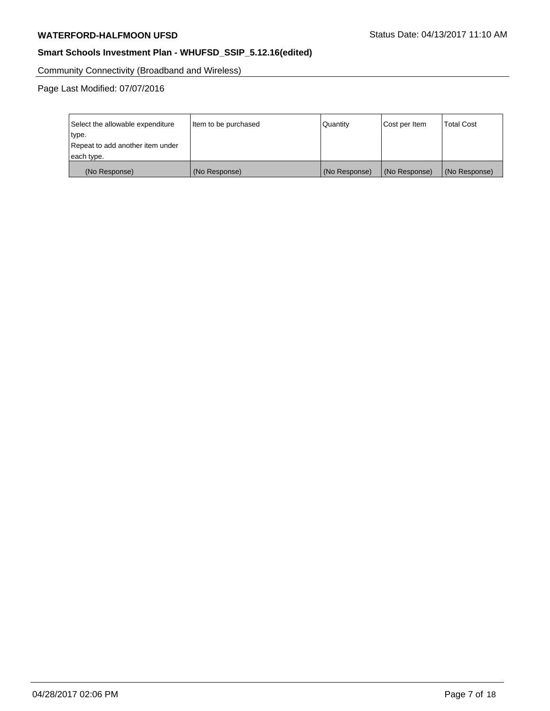Community Connectivity (Broadband and Wireless)

Page Last Modified: 07/07/2016

| Select the allowable expenditure | Item to be purchased | Quantity      | Cost per Item | <b>Total Cost</b> |
|----------------------------------|----------------------|---------------|---------------|-------------------|
| type.                            |                      |               |               |                   |
| Repeat to add another item under |                      |               |               |                   |
| each type.                       |                      |               |               |                   |
| (No Response)                    | (No Response)        | (No Response) | (No Response) | (No Response)     |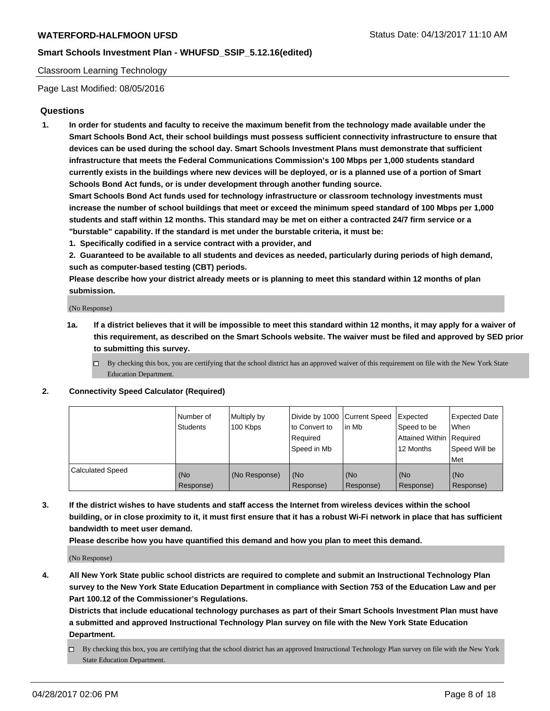### Classroom Learning Technology

Page Last Modified: 08/05/2016

### **Questions**

**1. In order for students and faculty to receive the maximum benefit from the technology made available under the Smart Schools Bond Act, their school buildings must possess sufficient connectivity infrastructure to ensure that devices can be used during the school day. Smart Schools Investment Plans must demonstrate that sufficient infrastructure that meets the Federal Communications Commission's 100 Mbps per 1,000 students standard currently exists in the buildings where new devices will be deployed, or is a planned use of a portion of Smart Schools Bond Act funds, or is under development through another funding source.**

**Smart Schools Bond Act funds used for technology infrastructure or classroom technology investments must increase the number of school buildings that meet or exceed the minimum speed standard of 100 Mbps per 1,000 students and staff within 12 months. This standard may be met on either a contracted 24/7 firm service or a "burstable" capability. If the standard is met under the burstable criteria, it must be:**

- **1. Specifically codified in a service contract with a provider, and**
- **2. Guaranteed to be available to all students and devices as needed, particularly during periods of high demand, such as computer-based testing (CBT) periods.**

**Please describe how your district already meets or is planning to meet this standard within 12 months of plan submission.**

(No Response)

- **1a. If a district believes that it will be impossible to meet this standard within 12 months, it may apply for a waiver of this requirement, as described on the Smart Schools website. The waiver must be filed and approved by SED prior to submitting this survey.**
	- $\Box$  By checking this box, you are certifying that the school district has an approved waiver of this requirement on file with the New York State Education Department.

#### **2. Connectivity Speed Calculator (Required)**

|                         | l Number of<br>Students | Multiply by<br>100 Kbps | Divide by 1000   Current Speed<br>to Convert to<br>Required<br>Speed in Mb | l in Mb          | Expected<br>Speed to be<br>Attained Within Required<br>12 Months | <b>Expected Date</b><br>When<br>Speed Will be<br>Met |
|-------------------------|-------------------------|-------------------------|----------------------------------------------------------------------------|------------------|------------------------------------------------------------------|------------------------------------------------------|
| <b>Calculated Speed</b> | (No<br>Response)        | (No Response)           | (No<br>Response)                                                           | (No<br>Response) | (No<br>Response)                                                 | (No<br>Response)                                     |

**3. If the district wishes to have students and staff access the Internet from wireless devices within the school building, or in close proximity to it, it must first ensure that it has a robust Wi-Fi network in place that has sufficient bandwidth to meet user demand.**

**Please describe how you have quantified this demand and how you plan to meet this demand.**

(No Response)

**4. All New York State public school districts are required to complete and submit an Instructional Technology Plan survey to the New York State Education Department in compliance with Section 753 of the Education Law and per Part 100.12 of the Commissioner's Regulations.**

**Districts that include educational technology purchases as part of their Smart Schools Investment Plan must have a submitted and approved Instructional Technology Plan survey on file with the New York State Education Department.**

 $\Box$  By checking this box, you are certifying that the school district has an approved Instructional Technology Plan survey on file with the New York State Education Department.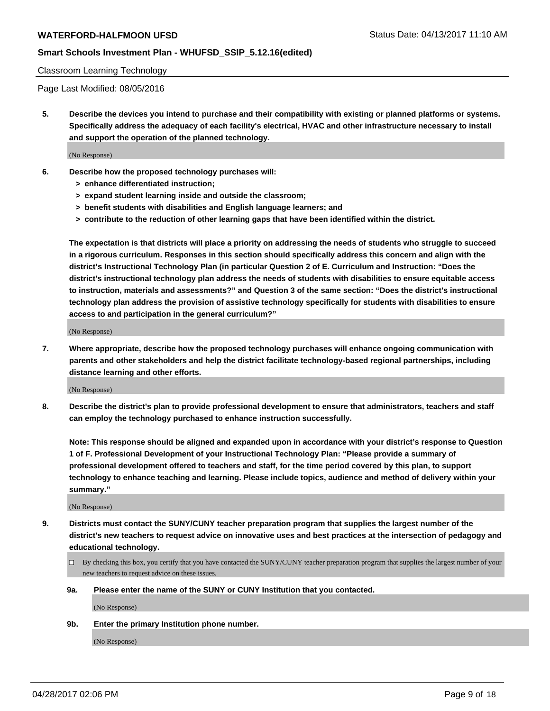## **WATERFORD-HALFMOON UFSD** Status Date: 04/13/2017 11:10 AM

## **Smart Schools Investment Plan - WHUFSD\_SSIP\_5.12.16(edited)**

### Classroom Learning Technology

Page Last Modified: 08/05/2016

**5. Describe the devices you intend to purchase and their compatibility with existing or planned platforms or systems. Specifically address the adequacy of each facility's electrical, HVAC and other infrastructure necessary to install and support the operation of the planned technology.**

(No Response)

- **6. Describe how the proposed technology purchases will:**
	- **> enhance differentiated instruction;**
	- **> expand student learning inside and outside the classroom;**
	- **> benefit students with disabilities and English language learners; and**
	- **> contribute to the reduction of other learning gaps that have been identified within the district.**

**The expectation is that districts will place a priority on addressing the needs of students who struggle to succeed in a rigorous curriculum. Responses in this section should specifically address this concern and align with the district's Instructional Technology Plan (in particular Question 2 of E. Curriculum and Instruction: "Does the district's instructional technology plan address the needs of students with disabilities to ensure equitable access to instruction, materials and assessments?" and Question 3 of the same section: "Does the district's instructional technology plan address the provision of assistive technology specifically for students with disabilities to ensure access to and participation in the general curriculum?"**

(No Response)

**7. Where appropriate, describe how the proposed technology purchases will enhance ongoing communication with parents and other stakeholders and help the district facilitate technology-based regional partnerships, including distance learning and other efforts.**

(No Response)

**8. Describe the district's plan to provide professional development to ensure that administrators, teachers and staff can employ the technology purchased to enhance instruction successfully.**

**Note: This response should be aligned and expanded upon in accordance with your district's response to Question 1 of F. Professional Development of your Instructional Technology Plan: "Please provide a summary of professional development offered to teachers and staff, for the time period covered by this plan, to support technology to enhance teaching and learning. Please include topics, audience and method of delivery within your summary."**

(No Response)

- **9. Districts must contact the SUNY/CUNY teacher preparation program that supplies the largest number of the district's new teachers to request advice on innovative uses and best practices at the intersection of pedagogy and educational technology.**
	- By checking this box, you certify that you have contacted the SUNY/CUNY teacher preparation program that supplies the largest number of your new teachers to request advice on these issues.
	- **9a. Please enter the name of the SUNY or CUNY Institution that you contacted.**

(No Response)

**9b. Enter the primary Institution phone number.**

(No Response)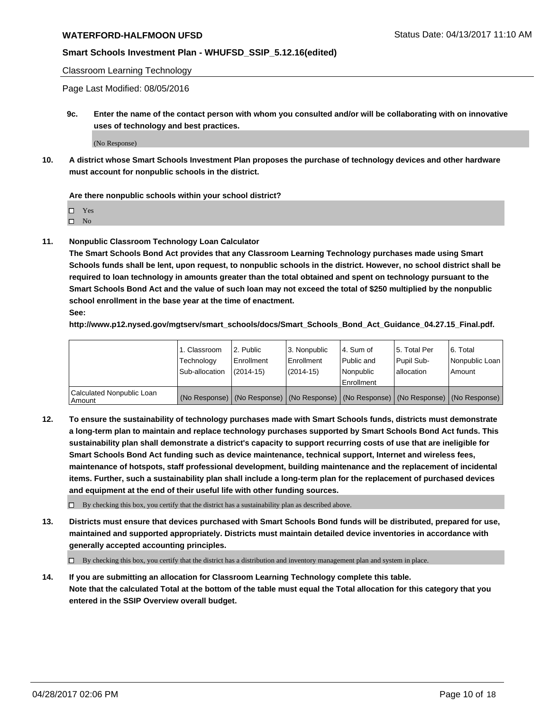## **WATERFORD-HALFMOON UFSD** Status Date: 04/13/2017 11:10 AM

#### **Smart Schools Investment Plan - WHUFSD\_SSIP\_5.12.16(edited)**

## Classroom Learning Technology

Page Last Modified: 08/05/2016

**9c. Enter the name of the contact person with whom you consulted and/or will be collaborating with on innovative uses of technology and best practices.**

(No Response)

**10. A district whose Smart Schools Investment Plan proposes the purchase of technology devices and other hardware must account for nonpublic schools in the district.**

**Are there nonpublic schools within your school district?**

Yes

 $\square$  No

**11. Nonpublic Classroom Technology Loan Calculator**

**The Smart Schools Bond Act provides that any Classroom Learning Technology purchases made using Smart Schools funds shall be lent, upon request, to nonpublic schools in the district. However, no school district shall be required to loan technology in amounts greater than the total obtained and spent on technology pursuant to the Smart Schools Bond Act and the value of such loan may not exceed the total of \$250 multiplied by the nonpublic school enrollment in the base year at the time of enactment.**

**See:**

**http://www.p12.nysed.gov/mgtserv/smart\_schools/docs/Smart\_Schools\_Bond\_Act\_Guidance\_04.27.15\_Final.pdf.**

|                                       | 1. Classroom   | l 2. Public   | 3. Nonpublic | l 4. Sum of | 15. Total Per                                                                                 | 6. Total       |
|---------------------------------------|----------------|---------------|--------------|-------------|-----------------------------------------------------------------------------------------------|----------------|
|                                       | Technology     | Enrollment    | Enrollment   | Public and  | Pupil Sub-                                                                                    | Nonpublic Loan |
|                                       | Sub-allocation | $(2014 - 15)$ | $(2014-15)$  | l Nonpublic | allocation                                                                                    | Amount         |
|                                       |                |               |              | Enrollment  |                                                                                               |                |
| Calculated Nonpublic Loan<br>  Amount |                |               |              |             | (No Response)   (No Response)   (No Response)   (No Response)   (No Response)   (No Response) |                |

**12. To ensure the sustainability of technology purchases made with Smart Schools funds, districts must demonstrate a long-term plan to maintain and replace technology purchases supported by Smart Schools Bond Act funds. This sustainability plan shall demonstrate a district's capacity to support recurring costs of use that are ineligible for Smart Schools Bond Act funding such as device maintenance, technical support, Internet and wireless fees, maintenance of hotspots, staff professional development, building maintenance and the replacement of incidental items. Further, such a sustainability plan shall include a long-term plan for the replacement of purchased devices and equipment at the end of their useful life with other funding sources.**

 $\Box$  By checking this box, you certify that the district has a sustainability plan as described above.

**13. Districts must ensure that devices purchased with Smart Schools Bond funds will be distributed, prepared for use, maintained and supported appropriately. Districts must maintain detailed device inventories in accordance with generally accepted accounting principles.**

By checking this box, you certify that the district has a distribution and inventory management plan and system in place.

**14. If you are submitting an allocation for Classroom Learning Technology complete this table. Note that the calculated Total at the bottom of the table must equal the Total allocation for this category that you entered in the SSIP Overview overall budget.**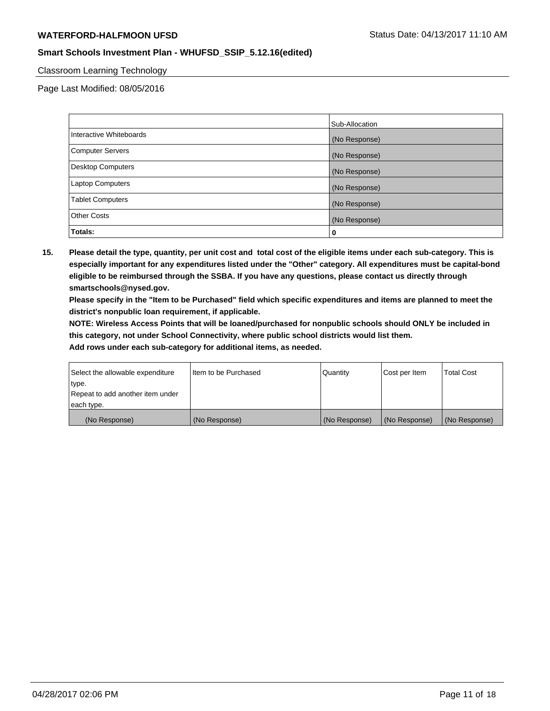### Classroom Learning Technology

Page Last Modified: 08/05/2016

|                          | Sub-Allocation |
|--------------------------|----------------|
| Interactive Whiteboards  | (No Response)  |
| Computer Servers         | (No Response)  |
| <b>Desktop Computers</b> | (No Response)  |
| <b>Laptop Computers</b>  | (No Response)  |
| <b>Tablet Computers</b>  | (No Response)  |
| <b>Other Costs</b>       | (No Response)  |
| Totals:                  | 0              |

**15. Please detail the type, quantity, per unit cost and total cost of the eligible items under each sub-category. This is especially important for any expenditures listed under the "Other" category. All expenditures must be capital-bond eligible to be reimbursed through the SSBA. If you have any questions, please contact us directly through smartschools@nysed.gov.**

**Please specify in the "Item to be Purchased" field which specific expenditures and items are planned to meet the district's nonpublic loan requirement, if applicable.**

**NOTE: Wireless Access Points that will be loaned/purchased for nonpublic schools should ONLY be included in this category, not under School Connectivity, where public school districts would list them.**

| Select the allowable expenditure | Iltem to be Purchased | Quantity      | Cost per Item | <b>Total Cost</b> |
|----------------------------------|-----------------------|---------------|---------------|-------------------|
| type.                            |                       |               |               |                   |
| Repeat to add another item under |                       |               |               |                   |
| each type.                       |                       |               |               |                   |
| (No Response)                    | (No Response)         | (No Response) | (No Response) | (No Response)     |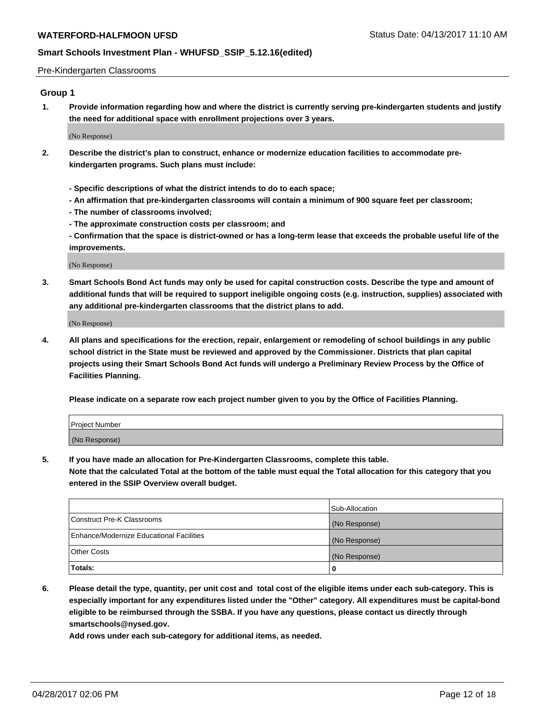#### Pre-Kindergarten Classrooms

### **Group 1**

**1. Provide information regarding how and where the district is currently serving pre-kindergarten students and justify the need for additional space with enrollment projections over 3 years.**

(No Response)

- **2. Describe the district's plan to construct, enhance or modernize education facilities to accommodate prekindergarten programs. Such plans must include:**
	- **Specific descriptions of what the district intends to do to each space;**
	- **An affirmation that pre-kindergarten classrooms will contain a minimum of 900 square feet per classroom;**
	- **The number of classrooms involved;**
	- **The approximate construction costs per classroom; and**

**- Confirmation that the space is district-owned or has a long-term lease that exceeds the probable useful life of the improvements.**

(No Response)

**3. Smart Schools Bond Act funds may only be used for capital construction costs. Describe the type and amount of additional funds that will be required to support ineligible ongoing costs (e.g. instruction, supplies) associated with any additional pre-kindergarten classrooms that the district plans to add.**

(No Response)

**4. All plans and specifications for the erection, repair, enlargement or remodeling of school buildings in any public school district in the State must be reviewed and approved by the Commissioner. Districts that plan capital projects using their Smart Schools Bond Act funds will undergo a Preliminary Review Process by the Office of Facilities Planning.**

**Please indicate on a separate row each project number given to you by the Office of Facilities Planning.**

| Project Number |  |
|----------------|--|
| (No Response)  |  |

**5. If you have made an allocation for Pre-Kindergarten Classrooms, complete this table.**

**Note that the calculated Total at the bottom of the table must equal the Total allocation for this category that you entered in the SSIP Overview overall budget.**

|                                          | Sub-Allocation |
|------------------------------------------|----------------|
| Construct Pre-K Classrooms               | (No Response)  |
| Enhance/Modernize Educational Facilities | (No Response)  |
| Other Costs                              | (No Response)  |
| Totals:                                  | 0              |

**6. Please detail the type, quantity, per unit cost and total cost of the eligible items under each sub-category. This is especially important for any expenditures listed under the "Other" category. All expenditures must be capital-bond eligible to be reimbursed through the SSBA. If you have any questions, please contact us directly through smartschools@nysed.gov.**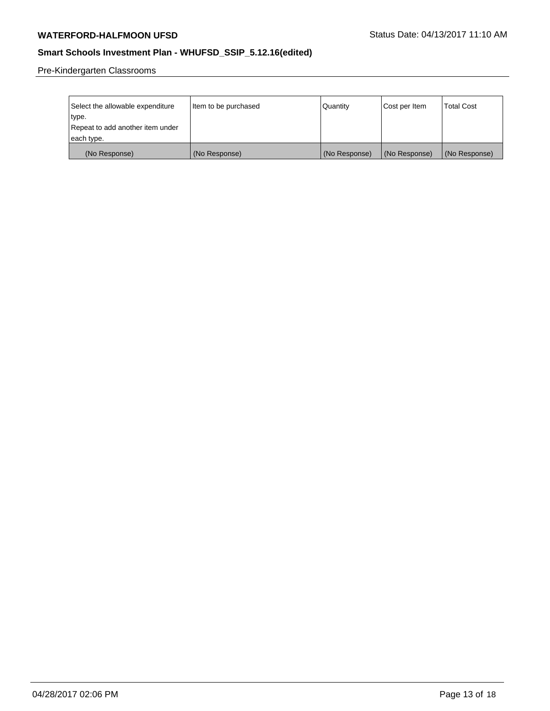Pre-Kindergarten Classrooms

| Select the allowable expenditure<br>type. | Item to be purchased | Quantity      | Cost per Item | <b>Total Cost</b> |
|-------------------------------------------|----------------------|---------------|---------------|-------------------|
| Repeat to add another item under          |                      |               |               |                   |
| each type.                                |                      |               |               |                   |
| (No Response)                             | (No Response)        | (No Response) | (No Response) | (No Response)     |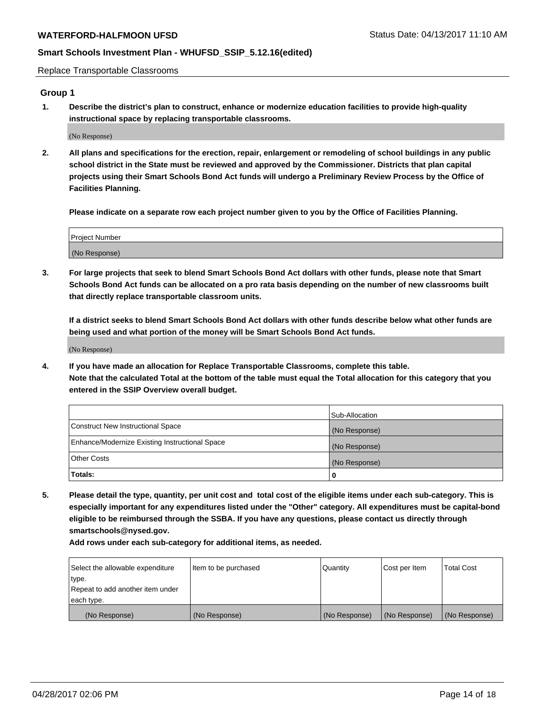Replace Transportable Classrooms

### **Group 1**

**1. Describe the district's plan to construct, enhance or modernize education facilities to provide high-quality instructional space by replacing transportable classrooms.**

(No Response)

**2. All plans and specifications for the erection, repair, enlargement or remodeling of school buildings in any public school district in the State must be reviewed and approved by the Commissioner. Districts that plan capital projects using their Smart Schools Bond Act funds will undergo a Preliminary Review Process by the Office of Facilities Planning.**

**Please indicate on a separate row each project number given to you by the Office of Facilities Planning.**

| Project Number |  |
|----------------|--|
| (No Response)  |  |

**3. For large projects that seek to blend Smart Schools Bond Act dollars with other funds, please note that Smart Schools Bond Act funds can be allocated on a pro rata basis depending on the number of new classrooms built that directly replace transportable classroom units.**

**If a district seeks to blend Smart Schools Bond Act dollars with other funds describe below what other funds are being used and what portion of the money will be Smart Schools Bond Act funds.**

(No Response)

**4. If you have made an allocation for Replace Transportable Classrooms, complete this table. Note that the calculated Total at the bottom of the table must equal the Total allocation for this category that you entered in the SSIP Overview overall budget.**

|                                                | Sub-Allocation |
|------------------------------------------------|----------------|
| Construct New Instructional Space              | (No Response)  |
| Enhance/Modernize Existing Instructional Space | (No Response)  |
| Other Costs                                    | (No Response)  |
| Totals:                                        | 0              |

**5. Please detail the type, quantity, per unit cost and total cost of the eligible items under each sub-category. This is especially important for any expenditures listed under the "Other" category. All expenditures must be capital-bond eligible to be reimbursed through the SSBA. If you have any questions, please contact us directly through smartschools@nysed.gov.**

| Select the allowable expenditure | lltem to be purchased | Quantity      | Cost per Item | <b>Total Cost</b> |
|----------------------------------|-----------------------|---------------|---------------|-------------------|
| type.                            |                       |               |               |                   |
| Repeat to add another item under |                       |               |               |                   |
| each type.                       |                       |               |               |                   |
| (No Response)                    | (No Response)         | (No Response) | (No Response) | (No Response)     |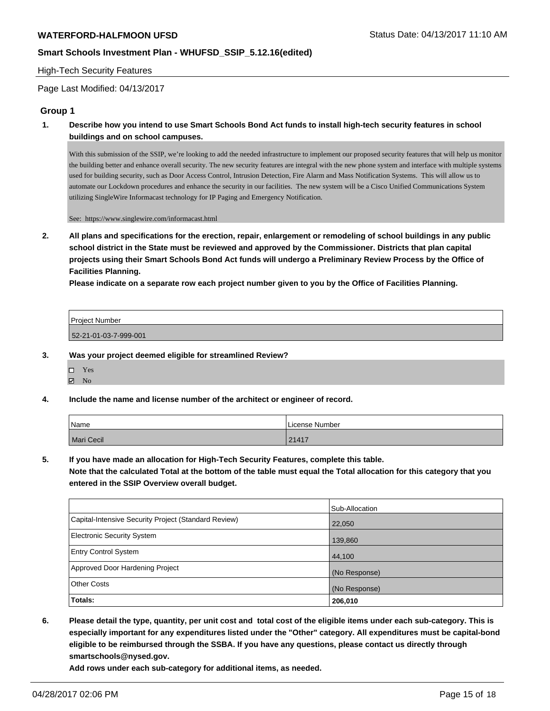#### High-Tech Security Features

Page Last Modified: 04/13/2017

## **Group 1**

**1. Describe how you intend to use Smart Schools Bond Act funds to install high-tech security features in school buildings and on school campuses.**

With this submission of the SSIP, we're looking to add the needed infrastructure to implement our proposed security features that will help us monitor the building better and enhance overall security. The new security features are integral with the new phone system and interface with multiple systems used for building security, such as Door Access Control, Intrusion Detection, Fire Alarm and Mass Notification Systems. This will allow us to automate our Lockdown procedures and enhance the security in our facilities. The new system will be a Cisco Unified Communications System utilizing SingleWire Informacast technology for IP Paging and Emergency Notification.

See: https://www.singlewire.com/informacast.html

**2. All plans and specifications for the erection, repair, enlargement or remodeling of school buildings in any public school district in the State must be reviewed and approved by the Commissioner. Districts that plan capital projects using their Smart Schools Bond Act funds will undergo a Preliminary Review Process by the Office of Facilities Planning.** 

**Please indicate on a separate row each project number given to you by the Office of Facilities Planning.**

| Project Number        |  |
|-----------------------|--|
| 52-21-01-03-7-999-001 |  |

- **3. Was your project deemed eligible for streamlined Review?**
	- □ Yes
	- $\boxtimes$  No
- **4. Include the name and license number of the architect or engineer of record.**

| Name       | License Number |
|------------|----------------|
| Mari Cecil | 21417          |

**5. If you have made an allocation for High-Tech Security Features, complete this table.**

**Note that the calculated Total at the bottom of the table must equal the Total allocation for this category that you entered in the SSIP Overview overall budget.**

|                                                      | Sub-Allocation |
|------------------------------------------------------|----------------|
| Capital-Intensive Security Project (Standard Review) | 22,050         |
| <b>Electronic Security System</b>                    | 139,860        |
| <b>Entry Control System</b>                          | 44,100         |
| Approved Door Hardening Project                      | (No Response)  |
| <b>Other Costs</b>                                   | (No Response)  |
| Totals:                                              | 206,010        |

**6. Please detail the type, quantity, per unit cost and total cost of the eligible items under each sub-category. This is especially important for any expenditures listed under the "Other" category. All expenditures must be capital-bond eligible to be reimbursed through the SSBA. If you have any questions, please contact us directly through smartschools@nysed.gov.**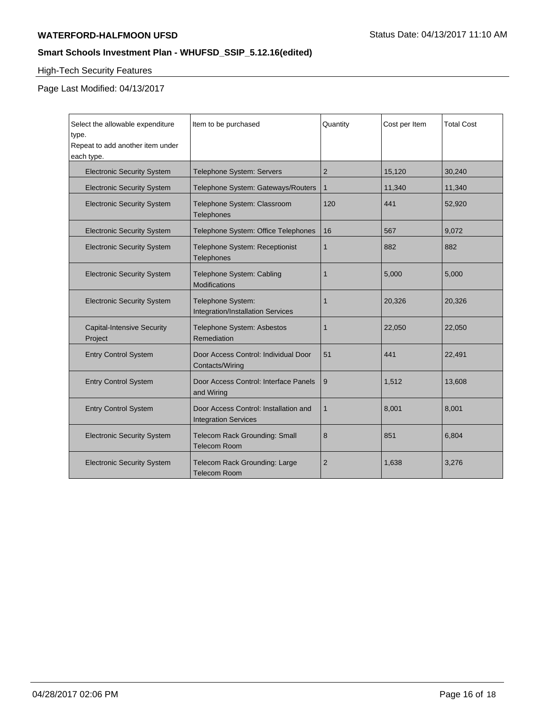# High-Tech Security Features

Page Last Modified: 04/13/2017

| Select the allowable expenditure<br>type.<br>Repeat to add another item under<br>each type. | Item to be purchased                                                 | Quantity       | Cost per Item | <b>Total Cost</b> |
|---------------------------------------------------------------------------------------------|----------------------------------------------------------------------|----------------|---------------|-------------------|
| <b>Electronic Security System</b>                                                           | Telephone System: Servers                                            | $\overline{2}$ | 15,120        | 30,240            |
| <b>Electronic Security System</b>                                                           | Telephone System: Gateways/Routers                                   | $\mathbf{1}$   | 11,340        | 11,340            |
| <b>Electronic Security System</b>                                                           | Telephone System: Classroom<br>Telephones                            | 120            | 441           | 52,920            |
| <b>Electronic Security System</b>                                                           | Telephone System: Office Telephones                                  | 16             | 567           | 9,072             |
| <b>Electronic Security System</b>                                                           | Telephone System: Receptionist<br><b>Telephones</b>                  | 1              | 882           | 882               |
| <b>Electronic Security System</b>                                                           | Telephone System: Cabling<br><b>Modifications</b>                    | 1              | 5,000         | 5,000             |
| <b>Electronic Security System</b>                                                           | Telephone System:<br>Integration/Installation Services               | 1              | 20,326        | 20,326            |
| <b>Capital-Intensive Security</b><br>Project                                                | Telephone System: Asbestos<br>Remediation                            | 1              | 22,050        | 22,050            |
| <b>Entry Control System</b>                                                                 | Door Access Control: Individual Door<br>Contacts/Wiring              | 51             | 441           | 22,491            |
| <b>Entry Control System</b>                                                                 | Door Access Control: Interface Panels<br>and Wiring                  | 9              | 1,512         | 13,608            |
| <b>Entry Control System</b>                                                                 | Door Access Control: Installation and<br><b>Integration Services</b> | $\mathbf{1}$   | 8,001         | 8,001             |
| <b>Electronic Security System</b>                                                           | Telecom Rack Grounding: Small<br><b>Telecom Room</b>                 | 8              | 851           | 6,804             |
| <b>Electronic Security System</b>                                                           | Telecom Rack Grounding: Large<br><b>Telecom Room</b>                 | $\overline{2}$ | 1,638         | 3,276             |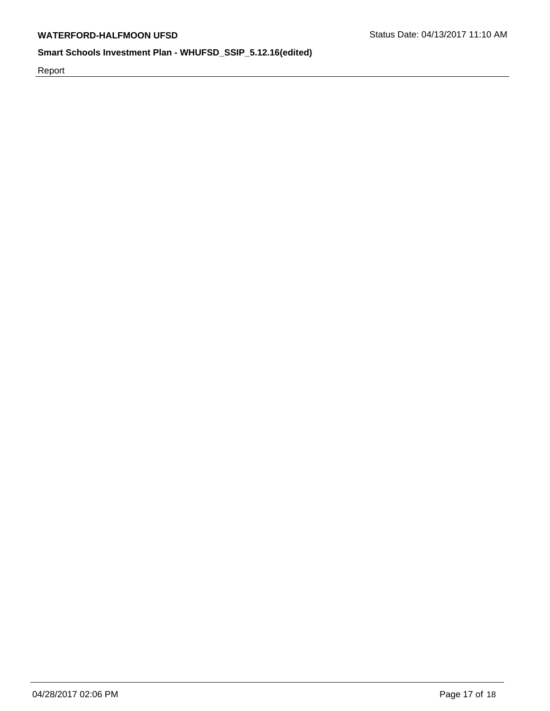Report